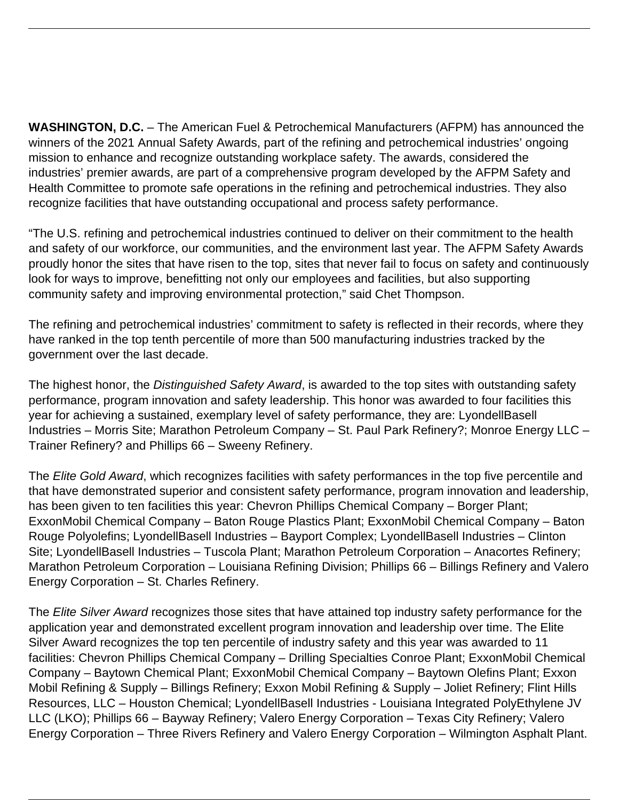**WASHINGTON, D.C.** – The American Fuel & Petrochemical Manufacturers (AFPM) has announced the winners of the 2021 Annual Safety Awards, part of the refining and petrochemical industries' ongoing mission to enhance and recognize outstanding workplace safety. The awards, considered the industries' premier awards, are part of a comprehensive program developed by the AFPM Safety and Health Committee to promote safe operations in the refining and petrochemical industries. They also recognize facilities that have outstanding occupational and process safety performance.

"The U.S. refining and petrochemical industries continued to deliver on their commitment to the health and safety of our workforce, our communities, and the environment last year. The AFPM Safety Awards proudly honor the sites that have risen to the top, sites that never fail to focus on safety and continuously look for ways to improve, benefitting not only our employees and facilities, but also supporting community safety and improving environmental protection," said Chet Thompson.

The refining and petrochemical industries' commitment to safety is reflected in their records, where they have ranked in the top tenth percentile of more than 500 manufacturing industries tracked by the government over the last decade.

The highest honor, the Distinguished Safety Award, is awarded to the top sites with outstanding safety performance, program innovation and safety leadership. This honor was awarded to four facilities this year for achieving a sustained, exemplary level of safety performance, they are: LyondellBasell Industries – Morris Site; Marathon Petroleum Company – St. Paul Park Refinery?; Monroe Energy LLC – Trainer Refinery? and Phillips 66 – Sweeny Refinery.

The Elite Gold Award, which recognizes facilities with safety performances in the top five percentile and that have demonstrated superior and consistent safety performance, program innovation and leadership, has been given to ten facilities this year: Chevron Phillips Chemical Company – Borger Plant; ExxonMobil Chemical Company – Baton Rouge Plastics Plant; ExxonMobil Chemical Company – Baton Rouge Polyolefins; LyondellBasell Industries – Bayport Complex; LyondellBasell Industries – Clinton Site; LyondellBasell Industries – Tuscola Plant; Marathon Petroleum Corporation – Anacortes Refinery; Marathon Petroleum Corporation – Louisiana Refining Division; Phillips 66 – Billings Refinery and Valero Energy Corporation – St. Charles Refinery.

The Elite Silver Award recognizes those sites that have attained top industry safety performance for the application year and demonstrated excellent program innovation and leadership over time. The Elite Silver Award recognizes the top ten percentile of industry safety and this year was awarded to 11 facilities: Chevron Phillips Chemical Company – Drilling Specialties Conroe Plant; ExxonMobil Chemical Company – Baytown Chemical Plant; ExxonMobil Chemical Company – Baytown Olefins Plant; Exxon Mobil Refining & Supply – Billings Refinery; Exxon Mobil Refining & Supply – Joliet Refinery; Flint Hills Resources, LLC – Houston Chemical; LyondellBasell Industries - Louisiana Integrated PolyEthylene JV LLC (LKO); Phillips 66 – Bayway Refinery; Valero Energy Corporation – Texas City Refinery; Valero Energy Corporation – Three Rivers Refinery and Valero Energy Corporation – Wilmington Asphalt Plant.